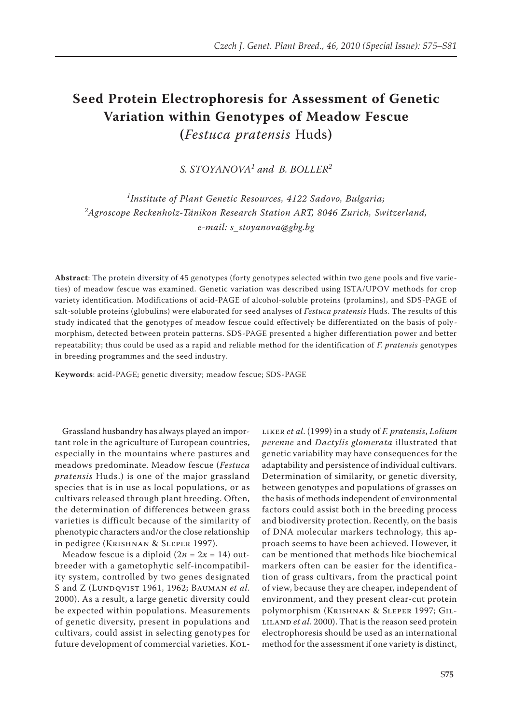# **Seed Protein Electrophoresis for Assessment of Genetic Variation within Genotypes of Meadow Fescue (***Festuca pratensis* Huds**)**

*S. Stoyanova<sup>1</sup> and B. Boller<sup>2</sup>*

*1 Institute of Plant Genetic Resources, 4122 Sadovo, Bulgaria; 2 Agroscope Reckenholz-Tänikon Research Station ART, 8046 Zurich, Switzerland, e-mail: s\_stoyanova@gbg.bg*

**Abstract**: The protein diversity of 45 genotypes (forty genotypes selected within two gene pools and five varieties) of meadow fescue was examined. Genetic variation was described using ISTA/UPOV methods for crop variety identification. Modifications of acid-PAGE of alcohol-soluble proteins (prolamins), and SDS-PAGE of salt-soluble proteins (globulins) were elaborated for seed analyses of *Festuca pratensis* Huds. The results of this study indicated that the genotypes of meadow fescue could effectively be differentiated on the basis of polymorphism, detected between protein patterns. SDS-PAGE presented a higher differentiation power and better repeatability; thus could be used as a rapid and reliable method for the identification of *F. pratensis* genotypes in breeding programmes and the seed industry.

**Keywords**: acid-PAGE; genetic diversity; meadow fescue; SDS-PAGE

Grassland husbandry has always played an important role in the agriculture of European countries, especially in the mountains where pastures and meadows predominate. Meadow fescue (*Festuca pratensis* Huds.) is one of the major grassland species that is in use as local populations, or as cultivars released through plant breeding. Often, the determination of differences between grass varieties is difficult because of the similarity of phenotypic characters and/or the close relationship in pedigree (Krishnan & Sleper 1997).

Meadow fescue is a diploid  $(2n = 2x = 14)$  outbreeder with a gametophytic self-incompatibility system, controlled by two genes designated S and Z (Lundqvist 1961, 1962; Bauman *et al.* 2000). As a result, a large genetic diversity could be expected within populations. Measurements of genetic diversity, present in populations and cultivars, could assist in selecting genotypes for future development of commercial varieties. Kol-

liker *et al*. (1999) in a study of *F. pratensis*, *Lolium perenne* and *Dactylis glomerata* illustrated that genetic variability may have consequences for the adaptability and persistence of individual cultivars. Determination of similarity, or genetic diversity, between genotypes and populations of grasses on the basis of methods independent of environmental factors could assist both in the breeding process and biodiversity protection. Recently, on the basis of DNA molecular markers technology, this approach seems to have been achieved. However, it can be mentioned that methods like biochemical markers often can be easier for the identification of grass cultivars, from the practical point of view, because they are cheaper, independent of environment, and they present clear-cut protein polymorphism (Krishnan & Sleper 1997; Gilliland *et al.* 2000). That is the reason seed protein electrophoresis should be used as an international method for the assessment if one variety is distinct,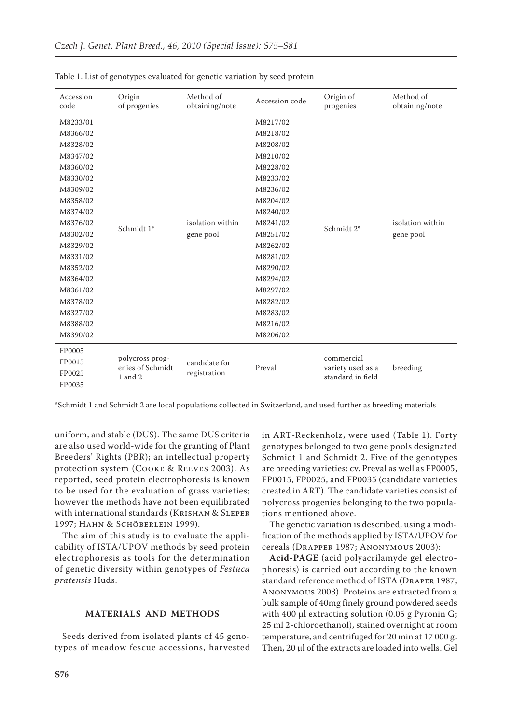| Accession<br>code                                                                                                                                                                                                                            | Origin<br>of progenies                         | Method of<br>obtaining/note   | Accession code                                                                                                                                                                                                                               | Origin of<br>progenies                               | Method of<br>obtaining/note   |
|----------------------------------------------------------------------------------------------------------------------------------------------------------------------------------------------------------------------------------------------|------------------------------------------------|-------------------------------|----------------------------------------------------------------------------------------------------------------------------------------------------------------------------------------------------------------------------------------------|------------------------------------------------------|-------------------------------|
| M8233/01<br>M8366/02<br>M8328/02<br>M8347/02<br>M8360/02<br>M8330/02<br>M8309/02<br>M8358/02<br>M8374/02<br>M8376/02<br>M8302/02<br>M8329/02<br>M8331/02<br>M8352/02<br>M8364/02<br>M8361/02<br>M8378/02<br>M8327/02<br>M8388/02<br>M8390/02 | Schmidt 1*                                     | isolation within<br>gene pool | M8217/02<br>M8218/02<br>M8208/02<br>M8210/02<br>M8228/02<br>M8233/02<br>M8236/02<br>M8204/02<br>M8240/02<br>M8241/02<br>M8251/02<br>M8262/02<br>M8281/02<br>M8290/02<br>M8294/02<br>M8297/02<br>M8282/02<br>M8283/02<br>M8216/02<br>M8206/02 | Schmidt 2*                                           | isolation within<br>gene pool |
| FP0005<br>FP0015<br>FP0025<br>FP0035                                                                                                                                                                                                         | polycross prog-<br>enies of Schmidt<br>1 and 2 | candidate for<br>registration | Preval                                                                                                                                                                                                                                       | commercial<br>variety used as a<br>standard in field | breeding                      |

Table 1. List of genotypes evaluated for genetic variation by seed protein

\*Schmidt 1 and Schmidt 2 are local populations collected in Switzerland, and used further as breeding materials

uniform, and stable (DUS). The same DUS criteria are also used world-wide for the granting of Plant Breeders' Rights (PBR); an intellectual property protection system (Cooke & Reeves 2003). As reported, seed protein electrophoresis is known to be used for the evaluation of grass varieties; however the methods have not been equilibrated with international standards (Krishan & Sleper 1997; Hahn & Schöberlein 1999).

The aim of this study is to evaluate the applicability of ISTA/UPOV methods by seed protein electrophoresis as tools for the determination of genetic diversity within genotypes of *Festuca pratensis* Huds.

## **MATERIALS AND METHODS**

Seeds derived from isolated plants of 45 genotypes of meadow fescue accessions, harvested

in ART-Reckenholz, were used (Table 1). Forty genotypes belonged to two gene pools designated Schmidt 1 and Schmidt 2. Five of the genotypes are breeding varieties: cv. Preval as well as FP0005, FP0015, FP0025, and FP0035 (candidate varieties created in ART). The candidate varieties consist of polycross progenies belonging to the two populations mentioned above.

The genetic variation is described, using a modification of the methods applied by ISTA/UPOV for cereals (Drapper 1987; Anonymous 2003):

**Acid-PAGE** (acid polyacrilamyde gel electrophoresis) is carried out according to the known standard reference method of ISTA (Draper 1987; Anonymous 2003). Proteins are extracted from a bulk sample of 40mg finely ground powdered seeds with 400 µl extracting solution (0.05 g Pyronin G; 25 ml 2-chloroethanol), stained overnight at room temperature, and centrifuged for 20 min at 17 000 g. Then, 20 µl of the extracts are loaded into wells. Gel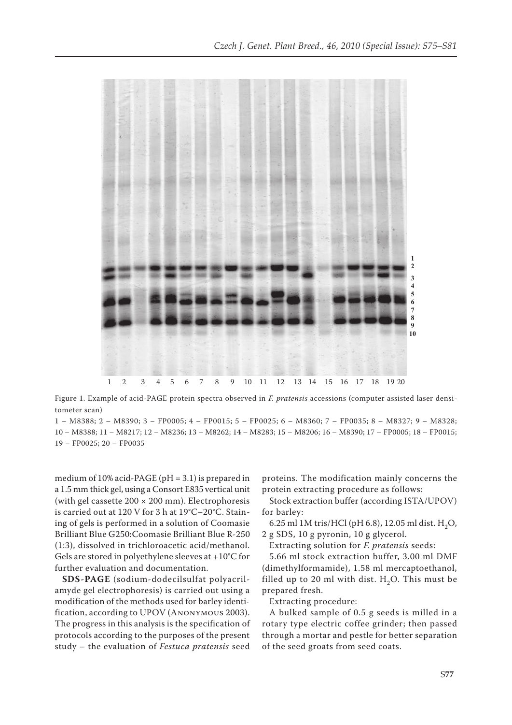

.<br>Figure 1. Example of acid-PAGE protein spectra observed in *F. pratensis* accessions (computer assisted laser densi  $(\text{scan})$ tometer scan)

1 – M8388; 2 – M8390; 3 – FP0005; 4 – FP0015; 5 – FP0025; 6 – M8360; 7 – FP0035; 8 – M8327; 9 – M8328; 10 – M8388; 11 – M8217; 12 – M8236; 13 – M8262; 14 – M8283; 15 – M8206; 16 – M8390; 17 – FP0005; 18 – FP0015; 19 – FP0025; 20 – FP0035

medium of 10% acid-PAGE ( $pH = 3.1$ ) is prepared in a 1.5 mm thick gel, using a Consort E835 vertical unit (with gel cassette  $200 \times 200$  mm). Electrophoresis is carried out at 120 V for 3 h at 19°C–20°C. Staining of gels is performed in a solution of Coomasie Brilliant Blue G250:Coomasie Brilliant Blue R-250 (1:3), dissolved in trichloroacetic acid/methanol. Gels are stored in polyethylene sleeves at +10°C for further evaluation and documentation.

**SDS-PAGE** (sodium-dodecilsulfat polyacrilamyde gel electrophoresis) is carried out using a modification of the methods used for barley identification, according to UPOV (Anonymous 2003). The progress in this analysis is the specification of protocols according to the purposes of the present study – the evaluation of *Festuca pratensis* seed

proteins. The modification mainly concerns the protein extracting procedure as follows:

Stock extraction buffer (according ISTA/UPOV) for barley:

6.25 ml 1M tris/HCl (pH 6.8), 12.05 ml dist.  $H_2O$ , 2 g SDS, 10 g pyronin, 10 g glycerol.

Extracting solution for *F. pratensis* seeds:

5.66 ml stock extraction buffer, 3.00 ml DMF (dimethylformamide), 1.58 ml mercaptoethanol, filled up to 20 ml with dist.  $H_2O$ . This must be prepared fresh.

Extracting procedure:

A bulked sample of 0.5 g seeds is milled in a rotary type electric coffee grinder; then passed through a mortar and pestle for better separation of the seed groats from seed coats.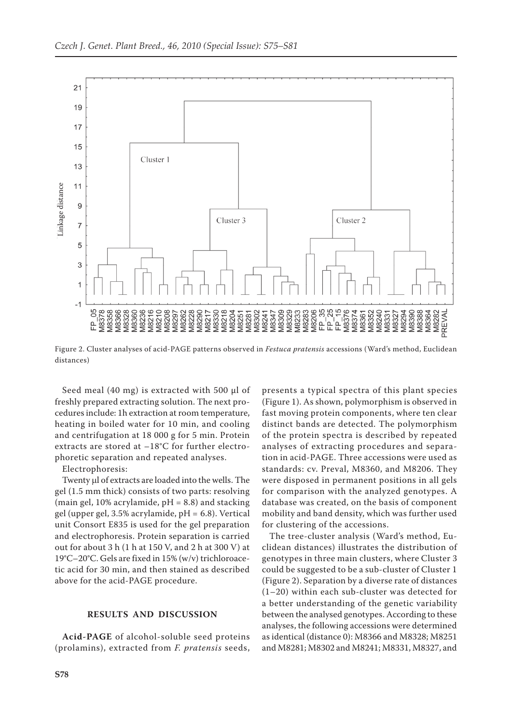

Figure 2. Cluster analyses of acid-PAGE patterns observed in *Festuca pratensis* accessions (Ward's method, Euclidean distances)

Seed meal (40 mg) is extracted with 500 μl of freshly prepared extracting solution. The next procedures include: 1h extraction at room temperature, heating in boiled water for 10 min, and cooling and centrifugation at 18 000 g for 5 min. Protein extracts are stored at –18°C for further electrophoretic separation and repeated analyses.

Electrophoresis:

Twenty µl of extracts are loaded into the wells. The gel (1.5 mm thick) consists of two parts: resolving (main gel,  $10\%$  acrylamide,  $pH = 8.8$ ) and stacking gel (upper gel,  $3.5\%$  acrylamide,  $pH = 6.8$ ). Vertical unit Consort E835 is used for the gel preparation and electrophoresis. Protein separation is carried out for about 3 h (1 h at 150 V, and 2 h at 300 V) at 19°C–20°C. Gels are fixed in 15% (w/v) trichloroacetic acid for 30 min, and then stained as described above for the acid-PAGE procedure.

## **RESULTS AND DISCUSSION**

**Acid-PAGE** of alcohol-soluble seed proteins (prolamins), extracted from *F. pratensis* seeds,

presents a typical spectra of this plant species (Figure 1). As shown, polymorphism is observed in fast moving protein components, where ten clear distinct bands are detected. The polymorphism of the protein spectra is described by repeated analyses of extracting procedures and separation in acid-PAGE. Three accessions were used as standards: cv. Preval, M8360, and M8206. They were disposed in permanent positions in all gels for comparison with the analyzed genotypes. A database was created, on the basis of component mobility and band density, which was further used for clustering of the accessions.

The tree-cluster analysis (Ward's method, Euclidean distances) illustrates the distribution of genotypes in three main clusters, where Cluster 3 could be suggested to be a sub-cluster of Cluster 1 (Figure 2). Separation by a diverse rate of distances (1–20) within each sub-cluster was detected for a better understanding of the genetic variability between the analysed genotypes. According to these analyses, the following accessions were determined as identical (distance 0): M8366 and M8328; M8251 and M8281; M8302 and M8241; M8331, M8327, and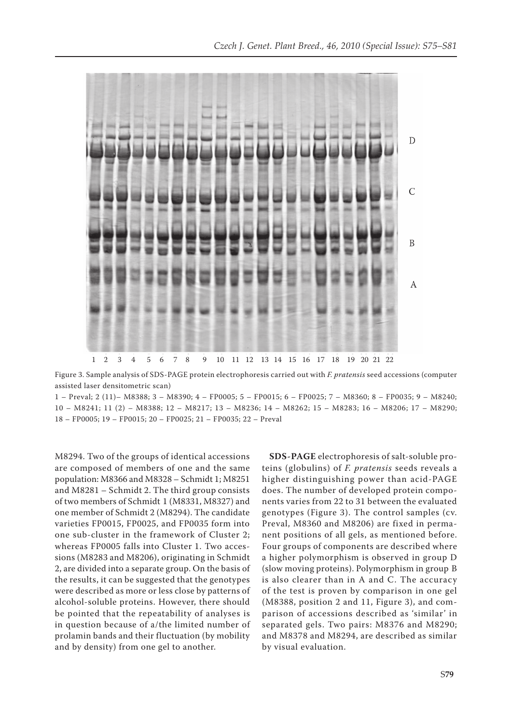

1 2 3 4 5 6 7 8 9 10 11 12 13 14 15 16 17 18 19 20 21 22

Figure 3. Sample analysis of SDS-PAGE protein electrophoresis carried out with *F. pratensis* seed accessions (computer assisted laser densitometric scan)

1 – Preval; 2 (11)– M8388; 3 – M8390; 4 – FP0005; 5 – FP0015; 6 – FP0025; 7 – M8360; 8 – FP0035; 9 – M8240; 10 – M8241; 11 (2) – M8388; 12 – M8217; 13 – M8236; 14 – M8262; 15 – M8283; 16 – M8206; 17 – M8290; 18 – FP0005; 19 – FP0015; 20 – FP0025; 21 – FP0035; 22 – Preval

M8294. Two of the groups of identical accessions are composed of members of one and the same population: M8366 and M8328 – Schmidt 1; M8251 and M8281 – Schmidt 2. The third group consists of two members of Schmidt 1 (M8331, M8327) and one member of Schmidt 2 (M8294). The candidate varieties FP0015, FP0025, and FP0035 form into one sub-cluster in the framework of Cluster 2; whereas FP0005 falls into Cluster 1. Two accessions (M8283 and M8206), originating in Schmidt 2, are divided into a separate group. On the basis of the results, it can be suggested that the genotypes were described as more or less close by patterns of alcohol-soluble proteins. However, there should be pointed that the repeatability of analyses is in question because of a/the limited number of prolamin bands and their fluctuation (by mobility and by density) from one gel to another.

**SDS-PAGE** electrophoresis of salt-soluble proteins (globulins) of *F. pratensis* seeds reveals a higher distinguishing power than acid-PAGE does. The number of developed protein components varies from 22 to 31 between the evaluated genotypes (Figure 3). The control samples (cv. Preval, M8360 and M8206) are fixed in permanent positions of all gels, as mentioned before. Four groups of components are described where a higher polymorphism is observed in group D (slow moving proteins). Polymorphism in group B is also clearer than in A and C. The accuracy of the test is proven by comparison in one gel (M8388, position 2 and 11, Figure 3), and comparison of accessions described as 'similar' in separated gels. Two pairs: M8376 and M8290; and M8378 and M8294, are described as similar by visual evaluation.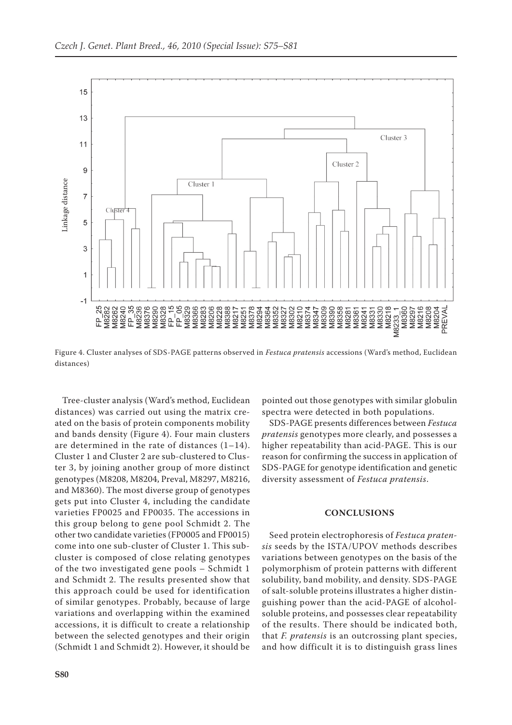

Figure 4. Cluster analyses of SDS-PAGE patterns observed in *Festuca pratensis* accessions (Ward's method, Euclidean distances)

Tree-cluster analysis (Ward's method, Euclidean distances) was carried out using the matrix created on the basis of protein components mobility and bands density (Figure 4). Four main clusters are determined in the rate of distances (1–14). Cluster 1 and Cluster 2 are sub-clustered to Cluster 3, by joining another group of more distinct genotypes (M8208, M8204, Preval, M8297, M8216, and M8360). The most diverse group of genotypes gets put into Cluster 4, including the candidate varieties FP0025 and FP0035. The accessions in this group belong to gene pool Schmidt 2. The other two candidate varieties (FP0005 and FP0015) come into one sub-cluster of Cluster 1. This subcluster is composed of close relating genotypes of the two investigated gene pools – Schmidt 1 and Schmidt 2. The results presented show that this approach could be used for identification of similar genotypes. Probably, because of large variations and overlapping within the examined accessions, it is difficult to create a relationship between the selected genotypes and their origin (Schmidt 1 and Schmidt 2). However, it should be

pointed out those genotypes with similar globulin spectra were detected in both populations.

SDS-PAGE presents differences between *Festuca pratensis* genotypes more clearly, and possesses a higher repeatability than acid-PAGE. This is our reason for confirming the success in application of SDS-PAGE for genotype identification and genetic diversity assessment of *Festuca pratensis*.

#### **CONCLUSIONS**

Seed protein electrophoresis of *Festuca pratensis* seeds by the ISTA/UPOV methods describes variations between genotypes on the basis of the polymorphism of protein patterns with different solubility, band mobility, and density. SDS-PAGE of salt-soluble proteins illustrates a higher distinguishing power than the acid-PAGE of alcoholsoluble proteins, and possesses clear repeatability of the results. There should be indicated both, that *F. pratensis* is an outcrossing plant species, and how difficult it is to distinguish grass lines